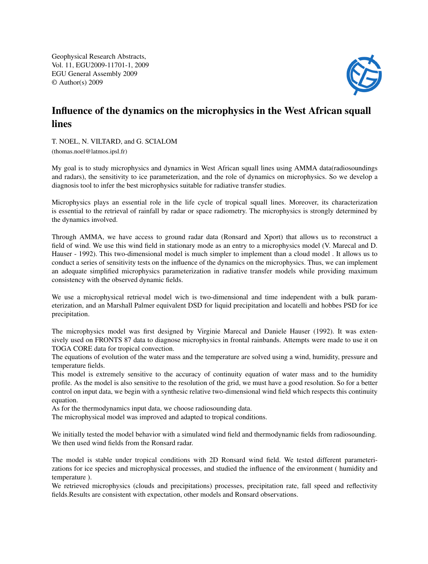Geophysical Research Abstracts, Vol. 11, EGU2009-11701-1, 2009 EGU General Assembly 2009 © Author(s) 2009



## Influence of the dynamics on the microphysics in the West African squall lines

T. NOEL, N. VILTARD, and G. SCIALOM (thomas.noel@latmos.ipsl.fr)

My goal is to study microphysics and dynamics in West African squall lines using AMMA data(radiosoundings and radars), the sensitivity to ice parameterization, and the role of dynamics on microphysics. So we develop a diagnosis tool to infer the best microphysics suitable for radiative transfer studies.

Microphysics plays an essential role in the life cycle of tropical squall lines. Moreover, its characterization is essential to the retrieval of rainfall by radar or space radiometry. The microphysics is strongly determined by the dynamics involved.

Through AMMA, we have access to ground radar data (Ronsard and Xport) that allows us to reconstruct a field of wind. We use this wind field in stationary mode as an entry to a microphysics model (V. Marecal and D. Hauser - 1992). This two-dimensional model is much simpler to implement than a cloud model . It allows us to conduct a series of sensitivity tests on the influence of the dynamics on the microphysics. Thus, we can implement an adequate simplified microphysics parameterization in radiative transfer models while providing maximum consistency with the observed dynamic fields.

We use a microphysical retrieval model wich is two-dimensional and time independent with a bulk parameterization, and an Marshall Palmer equivalent DSD for liquid precipitation and locatelli and hobbes PSD for ice precipitation.

The microphysics model was first designed by Virginie Marecal and Daniele Hauser (1992). It was extensively used on FRONTS 87 data to diagnose microphysics in frontal rainbands. Attempts were made to use it on TOGA CORE data for tropical convection.

The equations of evolution of the water mass and the temperature are solved using a wind, humidity, pressure and temperature fields.

This model is extremely sensitive to the accuracy of continuity equation of water mass and to the humidity profile. As the model is also sensitive to the resolution of the grid, we must have a good resolution. So for a better control on input data, we begin with a synthesic relative two-dimensional wind field which respects this continuity equation.

As for the thermodynamics input data, we choose radiosounding data.

The microphysical model was improved and adapted to tropical conditions.

We initially tested the model behavior with a simulated wind field and thermodynamic fields from radiosounding. We then used wind fields from the Ronsard radar.

The model is stable under tropical conditions with 2D Ronsard wind field. We tested different parameterizations for ice species and microphysical processes, and studied the influence of the environment ( humidity and temperature ).

We retrieved microphysics (clouds and precipitations) processes, precipitation rate, fall speed and reflectivity fields.Results are consistent with expectation, other models and Ronsard observations.